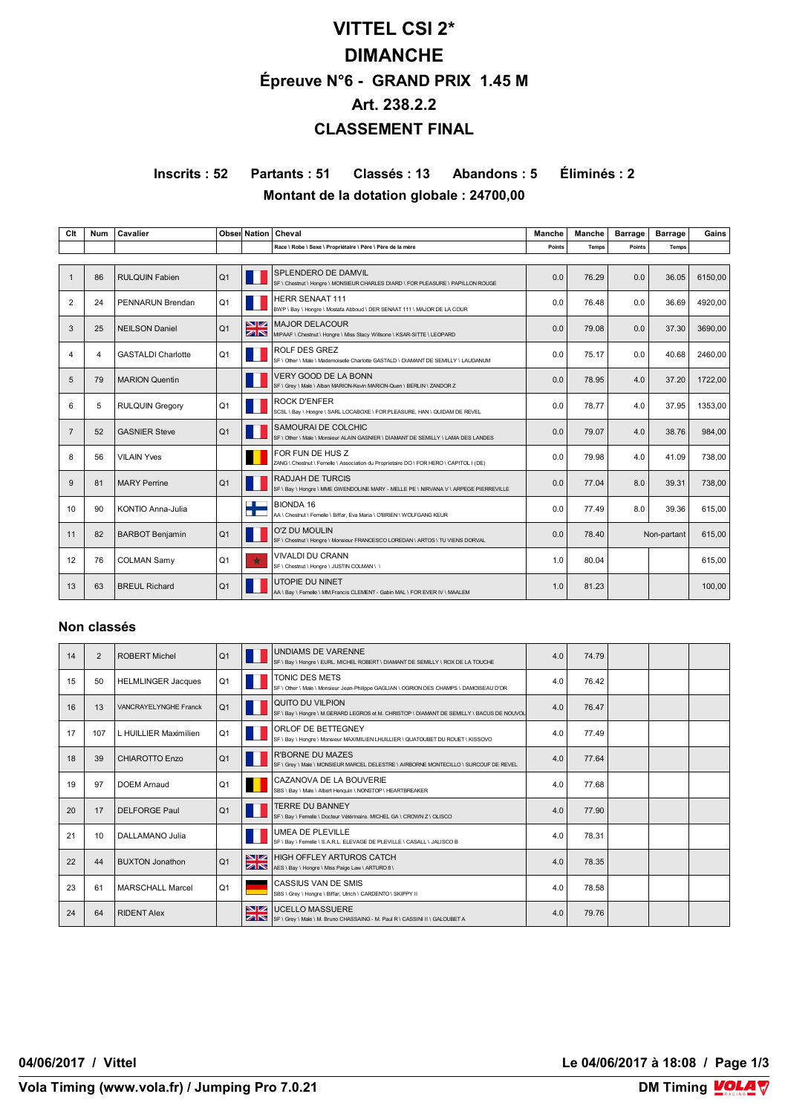# **VITTEL CSI 2\* DIMANCHE Épreuve N°6 - GRAND PRIX 1.45 M Art. 238.2.2 CLASSEMENT FINAL**

**Inscrits : 52 Partants : 51 Classés : 13 Abandons : 5 Éliminés : 2 Montant de la dotation globale : 24700,00**

**Clt Num Cavalier Cavalier Observations Cheval Cheval Manche Manche Manche Barrage Barrage Gains Race \ Robe \ Sexe \ Propriétaire \ Père \ Père de la mère Points Temps Points Temps** 1 86 RULQUIN Fabien (Q1 FRA SPLENDER) SE LET DE DAMINIEUR CHARLES DIARD \ FOR PLEASURE \ PAPILLON ROUGE (0.0 76.29 0.0 36.05 6150,00 2 24 PENNARUN Brendan  $\begin{bmatrix} Q1 & E1 \end{bmatrix}$  Herry Seny Hongre \ Mostafa Abboud \ DER SENAAT 111 \ MAJOR DE LA COUR 0.0 76.48 0.0 76.48 0.0 36.69 4920,00  $3 \left| 25 \right|$  NEILSON Daniel  $2 \left| 01 \right|$   $\sum_{\text{MN}}$  MAJOR DELACOUR MAJOR DELACOUR<br>MIPAAF \ Chestnut \ Hongre \ Miss Stacy Willsone \ KSAR-SITTE \ LEOPARD 0.0 0.0 37.30 3690,00 37.30 3690,00  $4 \mid 4 \mid$  GASTALDI Charlotte  $\mid Q1 \mid$  ROLF DES GREZ SF \ Other \ Male \ Mademoiselle Charlotte GASTALD \ DIAMANT DE SEMILLY \ LAUDANUM  $0.0$  75.17  $0.0$  40.68 2460,00 5 79 MARION Quentin FRA VERY GOOD DE LA BONN SF \ Grey \ Male \ Alban MARION-Kevin MARION-Quen \ BERLIN \ ZANDOR Z 0.0 78.95 4.0 37.20 1722,00 6 S RULQUIN Gregory (Q1 DI ISSUE DEVISED TRAN LOCABOXE \ FOR PLEASURE, HAN \ QUIDAM DE REVEL 0.0 78.77 4.0 37.95 1353,00 d 7 S2 GASNIER Steve Q1 FRA SETODET MALE COLCHIC ALAIN GASNIER DIAMANT DE SEMILLY⊺LAMA DES LANDES ON 29.07 4.0 38.76 984,00 38.76 984,00 8 56 VILAIN Yves **BEL FOR FUN DE HUS Z**  $\textsf{\small IUS Z}\ \textsf{\tiny JES}$ asociation du Proprietaire DO \ FOR HERO \ CAPITOL I (DE) 0.0 79.98 4.0 41.09 738,00 41.09 738,00 9 81 MARY Perrine  $\begin{bmatrix} Q1 & P1 \end{bmatrix}$   $\begin{bmatrix} 1 \end{bmatrix}$  of use  $\begin{bmatrix} 1 \end{bmatrix}$  and the conduct in Me GWENDOLINE MARY - MELLE PE I NIRVANA V \ ARPEGE PIERREVILLE 0.0 77.04 8.0 39.31 738,00 10 90 KONTIO Anna-Julia **Francisco 10 AA** Cheshut Fee AA \ Chestnut \ Femelle \ Biffar, Eva Maria \ O'BRIEN \ WOLFGANG KEUR 0.0 **8.0** 77.49 8.0 39.36 815,00 615,00 8.0 5 11 82 BARBOT Benjamin Q1 SF\Chestnut\ Hongre \ M SF \ Chestnut \ Hongre \ Monsieur FRANCESCO LOREDAN \ ARTOS \ TU VIENS DORVAL 0.0 78.40 Non-partant 615,00 12 76 COLMAN Samy Q1  $\frac{1}{2}$  VIVALDI DU CRANN SF \ Chestnut \ Hongre \ JUSTIN COLMAN \ \ 1.0 80.04 615,00 13 63 BREUL Richard  $Q_1$   $\P$   $\overline{Q_1}$  UTOPIE DU NINET AA \ Bay \ Femelle \ MM.Francis CLEMENT - Gabin MAL \ FOR EVER IV \ MAALEM  $1.0$  81.23 100,00

#### **Non classés**

| 14 | $\overline{2}$ | <b>ROBERT Michel</b>      | Q <sub>1</sub> |    | <b>UNDIAMS DE VARENNE</b><br>SF \ Bay \ Hongre \ EURL. MICHEL ROBERT \ DIAMANT DE SEMILLY \ ROX DE LA TOUCHE    | 4.0 | 74.79 |  |  |
|----|----------------|---------------------------|----------------|----|-----------------------------------------------------------------------------------------------------------------|-----|-------|--|--|
| 15 | 50             | <b>HELMLINGER Jacques</b> | Q <sub>1</sub> |    | TONIC DES METS<br>SF \ Other \ Male \ Monsieur Jean-Philippe GAGLIAN \ OGRION DES CHAMPS \ DAMOISEAU D'OR       | 4.0 | 76.42 |  |  |
| 16 | 13             | VANCRAYELYNGHE Franck     | Q <sub>1</sub> |    | QUITO DU VILPION<br>SF \ Bay \ Hongre \ M.GERARD LEGROS et M. CHRISTOP \ DIAMANT DE SEMILLY \ BACUS DE NOUVOL   | 4.0 | 76.47 |  |  |
| 17 | 107            | L HUILLIER Maximilien     | Q <sub>1</sub> |    | ORLOF DE BETTEGNEY<br>SF \ Bay \ Hongre \ Monsieur MAXIMILIEN LHUILLIER \ QUATOUBET DU ROUET \ KISSOVO          | 4.0 | 77.49 |  |  |
| 18 | 39             | <b>CHIAROTTO Enzo</b>     | Q <sub>1</sub> |    | <b>R'BORNE DU MAZES</b><br>SF \ Grey \ Male \ MONSIEUR MARCEL DELESTRE \ AIRBORNE MONTECILLO \ SURCOUF DE REVEL | 4.0 | 77.64 |  |  |
| 19 | 97             | <b>DOEM Amaud</b>         | Q <sub>1</sub> |    | CAZANOVA DE LA BOUVERIE<br>SBS \ Bay \ Male \ Albert Henquin \ NONSTOP \ HEARTBREAKER                           | 4.0 | 77.68 |  |  |
| 20 | 17             | <b>DELFORGE Paul</b>      | Q <sub>1</sub> |    | <b>TERRE DU BANNEY</b><br>SF \ Bay \ Femelle \ Docteur Vétérinaire. MICHEL GA \ CROWN Z \ OLISCO                | 4.0 | 77.90 |  |  |
| 21 | 10             | DALLAMANO Julia           |                |    | <b>UMEA DE PLEVILLE</b><br>SF \ Bay \ Femelle \ S.A.R.L. ELEVAGE DE PLEVILLE \ CASALL \ JALISCO B               | 4.0 | 78.31 |  |  |
| 22 | 44             | <b>BUXTON Jonathon</b>    | Q <sub>1</sub> | ZK | <b>NZ HIGH OFFLEY ARTUROS CATCH</b><br>AES \ Bay \ Hongre \ Miss Paige Law \ ARTURO 8 \                         | 4.0 | 78.35 |  |  |
| 23 | 61             | <b>MARSCHALL Marcel</b>   | Q <sub>1</sub> |    | <b>CASSIUS VAN DE SMIS</b><br>SBS \ Grev \ Hongre \ Biffar, Ulrich \ CARDENTO \ SKIPPY II                       | 4.0 | 78.58 |  |  |
| 24 | 64             | <b>RIDENT Alex</b>        |                | ZN | <b>NZ UCELLO MASSUERE</b><br>SF \ Grey \ Male \ M. Bruno CHASSAING - M. Paul R \ CASSINI II \ GALOUBET A        | 4.0 | 79.76 |  |  |

**04/06/2017 / Vittel Le 04/06/2017 à 18:08 / Page 1/3**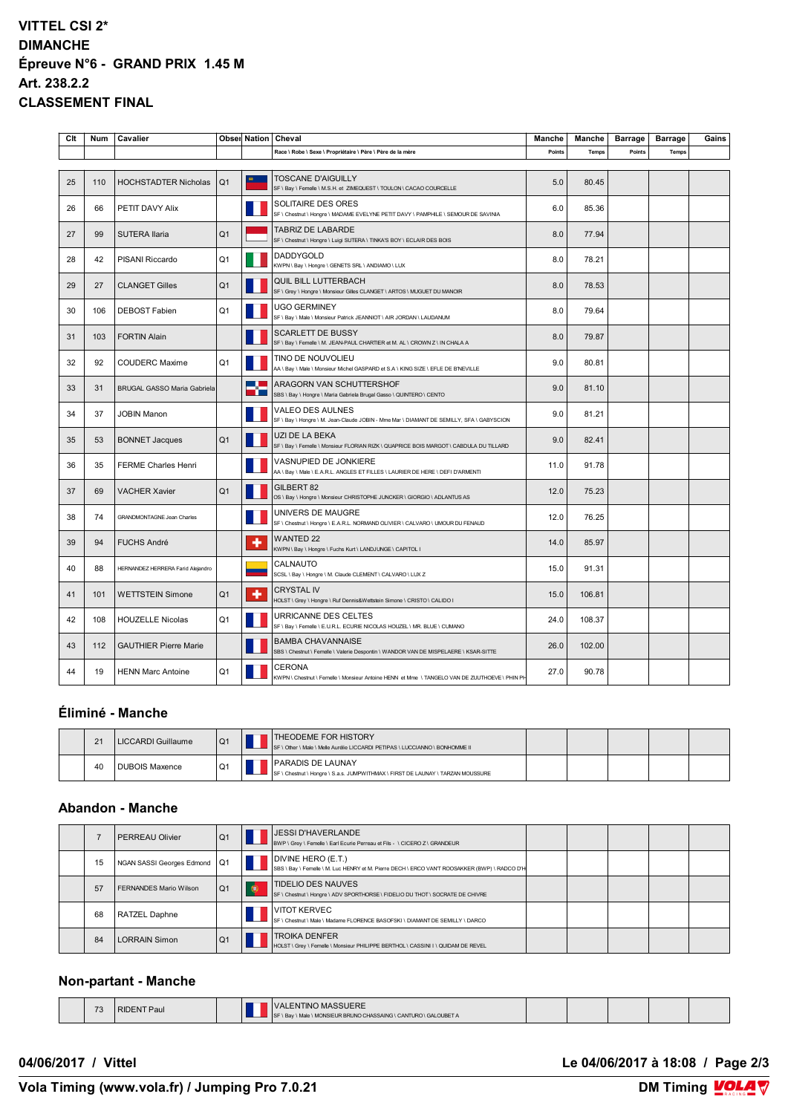## **VITTEL CSI 2\* DIMANCHE Épreuve N°6 - GRAND PRIX 1.45 M Art. 238.2.2 CLASSEMENT FINAL**

| Clt | <b>Num</b> | Cavalier                          |                |                                  | Obser Nation   Cheval                                                                                            | Manche | Manche | <b>Barrage</b> | <b>Barrage</b> | Gains |
|-----|------------|-----------------------------------|----------------|----------------------------------|------------------------------------------------------------------------------------------------------------------|--------|--------|----------------|----------------|-------|
|     |            |                                   |                |                                  | Race \ Robe \ Sexe \ Propriétaire \ Père \ Père de la mère                                                       | Points | Temps  | Points         | Temps          |       |
|     |            |                                   |                |                                  |                                                                                                                  |        |        |                |                |       |
| 25  | 110        | <b>HOCHSTADTER Nicholas</b>       | Q <sub>1</sub> |                                  | <b>TOSCANE D'AIGUILLY</b><br>SF \ Bay \ Femelle \ M.S.H. et ZIMEQUEST \ TOULON \ CACAO COURCELLE                 | 5.0    | 80.45  |                |                |       |
| 26  | 66         | PETIT DAVY Alix                   |                |                                  | SOLITAIRE DES ORES<br>SF \ Chestnut \ Hongre \ MADAME EVELYNE PETIT DAVY \ PAMPHILE \ SEMOUR DE SAVINIA          | 6.0    | 85.36  |                |                |       |
| 27  | 99         | <b>SUTERA Ilaria</b>              | Q <sub>1</sub> |                                  | TABRIZ DE LABARDE<br>SF \ Chestnut \ Hongre \ Luigi SUTERA \ TINKA'S BOY \ ECLAIR DES BOIS                       | 8.0    | 77.94  |                |                |       |
| 28  | 42         | PISANI Riccardo                   | Q <sub>1</sub> |                                  | <b>DADDYGOLD</b><br>KWPN \ Bay \ Hongre \ GENETS SRL \ ANDIAMO \ LUX                                             | 8.0    | 78.21  |                |                |       |
| 29  | 27         | <b>CLANGET Gilles</b>             | Q <sub>1</sub> |                                  | QUIL BILL LUTTERBACH<br>SF \ Grey \ Hongre \ Monsieur Gilles CLANGET \ ARTOS \ MUGUET DU MANOIR                  | 8.0    | 78.53  |                |                |       |
| 30  | 106        | <b>DEBOST Fabien</b>              | Q <sub>1</sub> |                                  | <b>UGO GERMINEY</b><br>SF \ Bay \ Male \ Monsieur Patrick JEANNIOT \ AIR JORDAN \ LAUDANUM                       | 8.0    | 79.64  |                |                |       |
| 31  | 103        | <b>FORTIN Alain</b>               |                |                                  | SCARLETT DE BUSSY<br>SF \ Bay \ Femelle \ M. JEAN-PAUL CHARTIER et M. AL \ CROWN Z \ IN CHALA A                  | 8.0    | 79.87  |                |                |       |
| 32  | 92         | <b>COUDERC Maxime</b>             | Q <sub>1</sub> |                                  | TINO DE NOUVOLIEU<br>AA \ Bay \ Male \ Monsieur Michel GASPARD et S.A \ KING SIZE \ EFLE DE B'NEVILLE            | 9.0    | 80.81  |                |                |       |
| 33  | 31         | BRUGAL GASSO Maria Gabriela       |                | <b>Contract Contract</b><br>mi n | ARAGORN VAN SCHUTTERSHOF<br>SBS \ Bay \ Hongre \ Maria Gabriela Brugal Gasso \ QUINTERO \ CENTO                  | 9.0    | 81.10  |                |                |       |
| 34  | 37         | <b>JOBIN Manon</b>                |                |                                  | VALEO DES AULNES<br>SF \ Bay \ Hongre \ M. Jean-Claude JOBIN - Mme Mar \ DIAMANT DE SEMILLY, SFA \ GABYSCION     | 9.0    | 81.21  |                |                |       |
| 35  | 53         | <b>BONNET Jacques</b>             | Q <sub>1</sub> |                                  | UZI DE LA BEKA<br>SF \ Bay \ Femelle \ Monsieur FLORIAN RIZK \ QUAPRICE BOIS MARGOT \ CABDULA DU TILLARD         | 9.0    | 82.41  |                |                |       |
| 36  | 35         | <b>FERME Charles Henri</b>        |                |                                  | VASNUPIED DE JONKIERE<br>AA \ Bay \ Male \ E.A.R.L. ANGLES ET FILLES \ LAURIER DE HERE \ DEFI D'ARMENTI          | 11.0   | 91.78  |                |                |       |
| 37  | 69         | <b>VACHER Xavier</b>              | Q <sub>1</sub> |                                  | GILBERT 82<br>OS \ Bay \ Hongre \ Monsieur CHRISTOPHE JUNCKER \ GIORGIO \ ADLANTUS AS                            | 12.0   | 75.23  |                |                |       |
| 38  | 74         | GRANDMONTAGNE Jean Charles        |                |                                  | UNIVERS DE MAUGRE<br>SF \ Chestnut \ Hongre \ E.A.R.L. NORMAND OLIVIER \ CALVARO \ UMOUR DU FENAUD               | 12.0   | 76.25  |                |                |       |
| 39  | 94         | <b>FUCHS André</b>                |                | ٠                                | <b>WANTED 22</b><br>KWPN \ Bay \ Hongre \ Fuchs Kurt \ LANDJUNGE \ CAPITOL I                                     | 14.0   | 85.97  |                |                |       |
| 40  | 88         | HERNANDEZ HERRERA Farid Alejandro |                |                                  | CALNAUTO<br>SCSL \ Bay \ Hongre \ M. Claude CLEMENT \ CALVARO \ LUX Z                                            | 15.0   | 91.31  |                |                |       |
| 41  | 101        | <b>WETTSTEIN Simone</b>           | Q <sub>1</sub> | ٠                                | <b>CRYSTAL IV</b><br>HOLST \ Grey \ Hongre \ Ruf Dennis&Wettstein Simone \ CRISTO \ CALIDO I                     | 15.0   | 106.81 |                |                |       |
| 42  | 108        | <b>HOUZELLE Nicolas</b>           | Q <sub>1</sub> |                                  | URRICANNE DES CELTES<br>SF \ Bay \ Femelle \ E.U.R.L. ECURIE NICOLAS HOUZEL \ MR. BLUE \ CUMANO                  | 24.0   | 108.37 |                |                |       |
| 43  | 112        | <b>GAUTHIER Pierre Marie</b>      |                |                                  | <b>BAMBA CHAVANNAISE</b><br>SBS \ Chestnut \ Femelle \ Valerie Despontin \ WANDOR VAN DE MISPELAERE \ KSAR-SITTE | 26.0   | 102.00 |                |                |       |
| 44  | 19         | <b>HENN Marc Antoine</b>          | Q <sub>1</sub> |                                  | <b>CERONA</b><br>KWPN \ Chestnut \ Femelle \ Monsieur Antoine HENN et Mme \ TANGELO VAN DE ZUUTHOEVE \ PHIN PH   | 27.0   | 90.78  |                |                |       |

## **Éliminé - Manche**

| 21 | LICCARDI Guillaume    | Q <sub>1</sub> | <b>ITHEODEME FOR HISTORY</b><br>SF \ Other \ Male \ Melle Aurélie LICCARDI PETIPAS \ LUCCIANNO \ BONHOMME II |  |  |  |
|----|-----------------------|----------------|--------------------------------------------------------------------------------------------------------------|--|--|--|
| 40 | <b>DUBOIS Maxence</b> | Q <sub>1</sub> | <b>IPARADIS DE LAUNAY</b><br>SF \ Chestnut \ Hongre \ S.a.s. JUMPWITHMAX \ FIRST DE LAUNAY \ TARZAN MOUSSURE |  |  |  |

## **Abandon - Manche**

|    | <b>PERREAU Olivier</b>    | Q <sub>1</sub> |           | IJESSI D'HAVERLANDE<br>BWP \ Grey \ Femelle \ Earl Ecurie Perreau et Fils - \ CICERO Z \ GRANDEUR                   |  |  |  |
|----|---------------------------|----------------|-----------|---------------------------------------------------------------------------------------------------------------------|--|--|--|
| 15 | NGAN SASSI Georges Edmond | Q <sub>1</sub> |           | DIVINE HERO (E.T.)<br>SBS \ Bay \ Femelle \ M. Luc HENRY et M. Pierre DECH \ ERCO VAN'T ROOSAKKER (BWP) \ RADCO D'H |  |  |  |
| 57 | FERNANDES Mario Wilson    | Q <sub>1</sub> | $\bullet$ | TIDELIO DES NAUVES<br>SF \ Chestnut \ Hongre \ ADV SPORTHORSE \ FIDELIO DU THOT \ SOCRATE DE CHIVRE                 |  |  |  |
| 68 | <b>RATZEL Daphne</b>      |                |           | VITOT KERVEC<br>SF \ Chestnut \ Male \ Madame FLORENCE BASOFSKI \ DIAMANT DE SEMILLY \ DARCO                        |  |  |  |
| 84 | <b>LORRAIN Simon</b>      | Q <sub>1</sub> |           | <b>TROIKA DENFER</b><br>HOLST \ Grey \ Femelle \ Monsieur PHILIPPE BERTHOL \ CASSINI I \ QUIDAM DE REVEL            |  |  |  |

#### **Non-partant - Manche**

| $70^{\circ}$<br>. | $T$ Paul<br><b>RIDENT</b> |  | 'ALENTINO MASSUERE<br>IN Bay I Male I MONSIEUR BRUNO CHASSAING I CANTURO I GALOUBET A |  |  |  |
|-------------------|---------------------------|--|---------------------------------------------------------------------------------------|--|--|--|

**04/06/2017 / Vittel Le 04/06/2017 à 18:08 / Page 2/3**